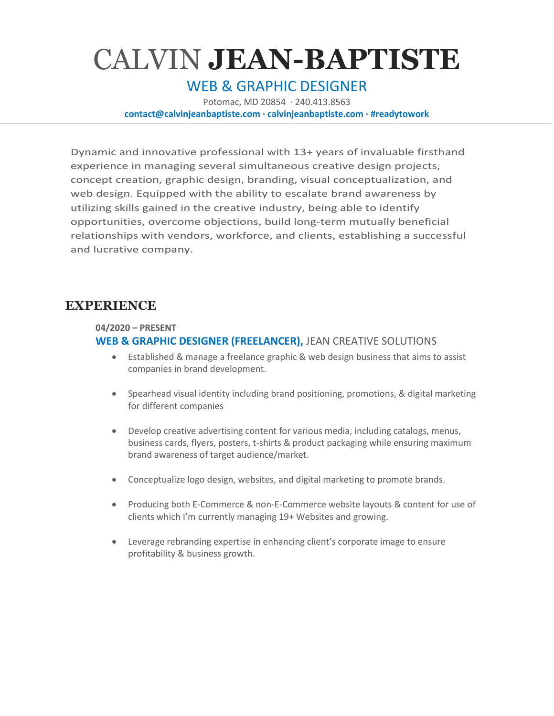# CALVIN **JEAN-BAPTISTE**

## WEB & GRAPHIC DESIGNER

Potomac, MD 20854 · 240.413.8563

**contact@calvinjeanbaptiste.com · calvinjeanbaptiste.com · #readytowork**

Dynamic and innovative professional with 13+ years of invaluable firsthand experience in managing several simultaneous creative design projects, concept creation, graphic design, branding, visual conceptualization, and web design. Equipped with the ability to escalate brand awareness by utilizing skills gained in the creative industry, being able to identify opportunities, overcome objections, build long-term mutually beneficial relationships with vendors, workforce, and clients, establishing a successful and lucrative company.

### **EXPERIENCE**

**04/2020 – PRESENT**

#### **WEB & GRAPHIC DESIGNER (FREELANCER),** JEAN CREATIVE SOLUTIONS

- Established & manage a freelance graphic & web design business that aims to assist companies in brand development.
- Spearhead visual identity including brand positioning, promotions, & digital marketing for different companies
- Develop creative advertising content for various media, including catalogs, menus, business cards, flyers, posters, t-shirts & product packaging while ensuring maximum brand awareness of target audience/market.
- Conceptualize logo design, websites, and digital marketing to promote brands.
- Producing both E-Commerce & non-E-Commerce website layouts & content for use of clients which I'm currently managing 19+ Websites and growing.
- Leverage rebranding expertise in enhancing client's corporate image to ensure profitability & business growth.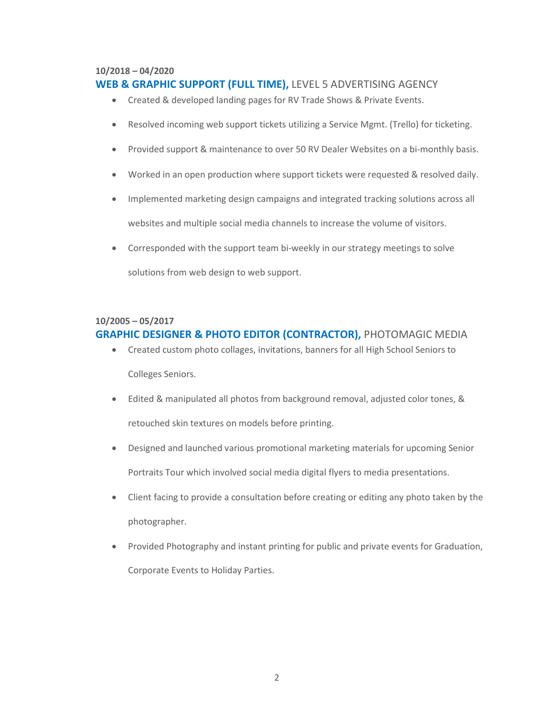#### **10/2018 – 04/2020**

#### **WEB & GRAPHIC SUPPORT (FULL TIME),** LEVEL 5 ADVERTISING AGENCY

- Created & developed landing pages for RV Trade Shows & Private Events.
- Resolved incoming web support tickets utilizing a Service Mgmt. (Trello) for ticketing.
- Provided support & maintenance to over 50 RV Dealer Websites on a bi-monthly basis.
- Worked in an open production where support tickets were requested & resolved daily.
- Implemented marketing design campaigns and integrated tracking solutions across all websites and multiple social media channels to increase the volume of visitors.
- Corresponded with the support team bi-weekly in our strategy meetings to solve

solutions from web design to web support.

#### **10/2005 – 05/2017 GRAPHIC DESIGNER & PHOTO EDITOR (CONTRACTOR),** PHOTOMAGIC MEDIA

- Created custom photo collages, invitations, banners for all High School Seniors to Colleges Seniors.
- Edited & manipulated all photos from background removal, adjusted color tones, & retouched skin textures on models before printing.
- Designed and launched various promotional marketing materials for upcoming Senior Portraits Tour which involved social media digital flyers to media presentations.
- Client facing to provide a consultation before creating or editing any photo taken by the photographer.
- Provided Photography and instant printing for public and private events for Graduation, Corporate Events to Holiday Parties.